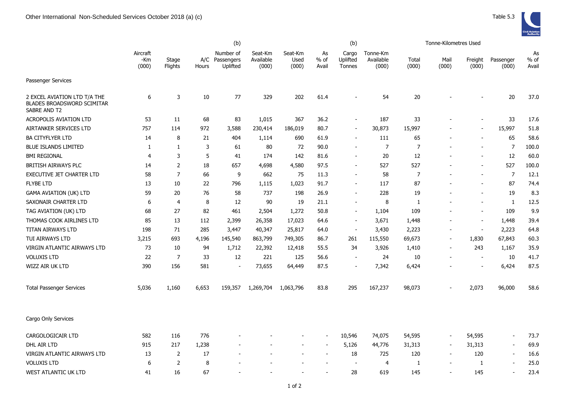|                                                                                   | (b)                      |                  |       |                                         |                               |                          | (b)                   |                             |                                |                | Tonne-Kilometres Used    |                          |                          |                       |
|-----------------------------------------------------------------------------------|--------------------------|------------------|-------|-----------------------------------------|-------------------------------|--------------------------|-----------------------|-----------------------------|--------------------------------|----------------|--------------------------|--------------------------|--------------------------|-----------------------|
|                                                                                   | Aircraft<br>-Km<br>(000) | Stage<br>Flights | Hours | Number of<br>A/C Passengers<br>Uplifted | Seat-Km<br>Available<br>(000) | Seat-Km<br>Used<br>(000) | As<br>$%$ of<br>Avail | Cargo<br>Uplifted<br>Tonnes | Tonne-Km<br>Available<br>(000) | Total<br>(000) | Mail<br>(000)            | Freight<br>(000)         | Passenger<br>(000)       | As<br>$%$ of<br>Avail |
| Passenger Services                                                                |                          |                  |       |                                         |                               |                          |                       |                             |                                |                |                          |                          |                          |                       |
| 2 EXCEL AVIATION LTD T/A THE<br><b>BLADES BROADSWORD SCIMITAR</b><br>SABRE AND T2 | 6                        | 3                | 10    | 77                                      | 329                           | 202                      | 61.4                  |                             | 54                             | 20             |                          |                          | 20                       | 37.0                  |
| <b>ACROPOLIS AVIATION LTD</b>                                                     | 53                       | 11               | 68    | 83                                      | 1,015                         | 367                      | 36.2                  |                             | 187                            | 33             |                          |                          | 33                       | 17.6                  |
| AIRTANKER SERVICES LTD                                                            | 757                      | 114              | 972   | 3,588                                   | 230,414                       | 186,019                  | 80.7                  |                             | 30,873                         | 15,997         |                          |                          | 15,997                   | 51.8                  |
| <b>BA CITYFLYER LTD</b>                                                           | 14                       | 8                | 21    | 404                                     | 1,114                         | 690                      | 61.9                  |                             | 111                            | 65             |                          |                          | 65                       | 58.6                  |
| <b>BLUE ISLANDS LIMITED</b>                                                       | 1                        | 1                | 3     | 61                                      | 80                            | 72                       | 90.0                  |                             | $\overline{7}$                 | $\overline{7}$ |                          |                          | $\overline{7}$           | 100.0                 |
| <b>BMI REGIONAL</b>                                                               | 4                        | 3                | 5     | 41                                      | 174                           | 142                      | 81.6                  |                             | 20                             | 12             |                          |                          | 12                       | 60.0                  |
| BRITISH AIRWAYS PLC                                                               | 14                       | $\overline{2}$   | 18    | 657                                     | 4,698                         | 4,580                    | 97.5                  | $\sim$                      | 527                            | 527            |                          |                          | 527                      | 100.0                 |
| EXECUTIVE JET CHARTER LTD                                                         | 58                       | $\overline{7}$   | 66    | 9                                       | 662                           | 75                       | 11.3                  |                             | 58                             | 7              |                          |                          | $\overline{7}$           | 12.1                  |
| <b>FLYBE LTD</b>                                                                  | 13                       | $10\,$           | 22    | 796                                     | 1,115                         | 1,023                    | 91.7                  |                             | 117                            | 87             |                          |                          | 87                       | 74.4                  |
| <b>GAMA AVIATION (UK) LTD</b>                                                     | 59                       | 20               | 76    | 58                                      | 737                           | 198                      | 26.9                  |                             | 228                            | 19             |                          |                          | 19                       | 8.3                   |
| SAXONAIR CHARTER LTD                                                              | 6                        | $\overline{4}$   | 8     | 12                                      | 90                            | 19                       | 21.1                  |                             | 8                              | 1              |                          | $\overline{\phantom{a}}$ | $\mathbf{1}$             | 12.5                  |
| TAG AVIATION (UK) LTD                                                             | 68                       | 27               | 82    | 461                                     | 2,504                         | 1,272                    | 50.8                  |                             | 1,104                          | 109            |                          | $\blacksquare$           | 109                      | 9.9                   |
| THOMAS COOK AIRLINES LTD                                                          | 85                       | 13               | 112   | 2,399                                   | 26,358                        | 17,023                   | 64.6                  | $\sim$                      | 3,671                          | 1,448          | $\overline{\phantom{a}}$ | $\overline{\phantom{a}}$ | 1,448                    | 39.4                  |
| <b>TITAN AIRWAYS LTD</b>                                                          | 198                      | 71               | 285   | 3,447                                   | 40,347                        | 25,817                   | 64.0                  | $\sim$                      | 3,430                          | 2,223          | $\overline{a}$           | $\overline{\phantom{a}}$ | 2,223                    | 64.8                  |
| TUI AIRWAYS LTD                                                                   | 3,215                    | 693              | 4,196 | 145,540                                 | 863,799                       | 749,305                  | 86.7                  | 261                         | 115,550                        | 69,673         | $\overline{a}$           | 1,830                    | 67,843                   | 60.3                  |
| VIRGIN ATLANTIC AIRWAYS LTD                                                       | 73                       | 10               | 94    | 1,712                                   | 22,392                        | 12,418                   | 55.5                  | 34                          | 3,926                          | 1,410          | $\blacksquare$           | 243                      | 1,167                    | 35.9                  |
| <b>VOLUXIS LTD</b>                                                                | 22                       | 7                | 33    | 12                                      | 221                           | 125                      | 56.6                  |                             | 24                             | 10             |                          | $\overline{\phantom{a}}$ | 10                       | 41.7                  |
| WIZZ AIR UK LTD                                                                   | 390                      | 156              | 581   | $\overline{\phantom{a}}$                | 73,655                        | 64,449                   | 87.5                  |                             | 7,342                          | 6,424          |                          |                          | 6,424                    | 87.5                  |
| <b>Total Passenger Services</b>                                                   | 5,036                    | 1,160            | 6,653 | 159,357                                 | 1,269,704                     | 1,063,796                | 83.8                  | 295                         | 167,237                        | 98,073         |                          | 2,073                    | 96,000                   | 58.6                  |
| Cargo Only Services                                                               |                          |                  |       |                                         |                               |                          |                       |                             |                                |                |                          |                          |                          |                       |
| CARGOLOGICAIR LTD                                                                 | 582                      | 116              | 776   |                                         |                               |                          |                       | 10,546                      | 74,075                         | 54,595         | $\overline{\phantom{a}}$ | 54,595                   | $\blacksquare$           | 73.7                  |
| DHL AIR LTD                                                                       | 915                      | 217              | 1,238 |                                         |                               |                          |                       | 5,126                       | 44,776                         | 31,313         | $\overline{\phantom{a}}$ | 31,313                   | $\overline{\phantom{a}}$ | 69.9                  |
| VIRGIN ATLANTIC AIRWAYS LTD                                                       | 13                       | $\overline{2}$   | 17    |                                         |                               |                          |                       | 18                          | 725                            | 120            |                          | 120                      | $\overline{\phantom{a}}$ | 16.6                  |
| <b>VOLUXIS LTD</b>                                                                | 6                        | $\overline{2}$   | 8     |                                         |                               |                          |                       |                             | $\overline{4}$                 | -1             | ÷,                       | 1                        |                          | 25.0                  |

WEST ATLANTIC UK LTD 41 16 67 - - - 28 619 145 - 145 - 23.4